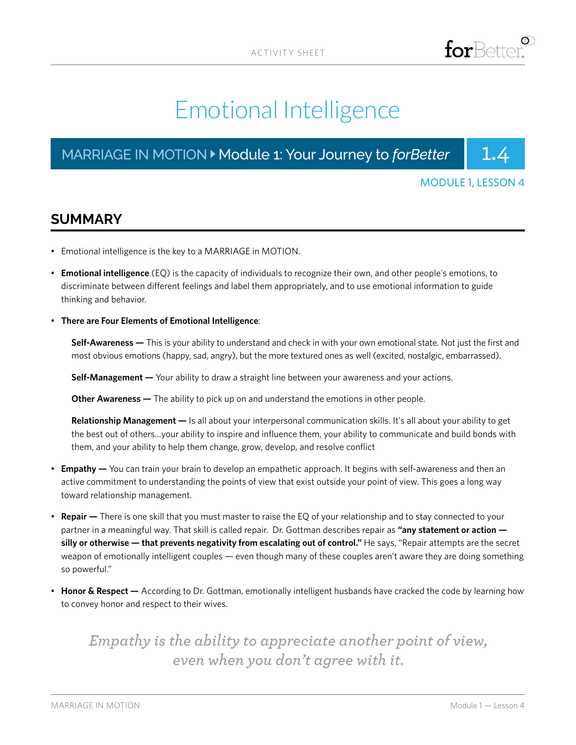# Emotional Intelligence

# MARRIAGE IN MOTION > Module 1: Your Journey to *forBetter* | 1.4



### MODULE 1, LESSON 4

# **SUMMARY**

- Emotional intelligence is the key to a MARRIAGE in MOTION.
- **Emotional intelligence** (EQ) is the capacity of individuals to recognize their own, and other people's emotions, to discriminate between different feelings and label them appropriately, and to use emotional information to guide thinking and behavior.
- **There are Four Elements of Emotional Intelligence**:

**Self-Awareness —** This is your ability to understand and check in with your own emotional state. Not just the first and most obvious emotions (happy, sad, angry), but the more textured ones as well (excited, nostalgic, embarrassed).

**Self-Management —** Your ability to draw a straight line between your awareness and your actions.

**Other Awareness —** The ability to pick up on and understand the emotions in other people.

**Relationship Management —** Is all about your interpersonal communication skills. It's all about your ability to get the best out of others...your ability to inspire and influence them, your ability to communicate and build bonds with them, and your ability to help them change, grow, develop, and resolve conflict

- **Empathy —** You can train your brain to develop an empathetic approach. It begins with self-awareness and then an active commitment to understanding the points of view that exist outside your point of view. This goes a long way toward relationship management.
- **Repair —** There is one skill that you must master to raise the EQ of your relationship and to stay connected to your partner in a meaningful way. That skill is called repair. Dr. Gottman describes repair as "any statement or action **silly or otherwise — that prevents negativity from escalating out of control."** He says, "Repair attempts are the secret weapon of emotionally intelligent couples — even though many of these couples aren't aware they are doing something so powerful."
- **Honor & Respect —** According to Dr. Gottman, emotionally intelligent husbands have cracked the code by learning how to convey honor and respect to their wives.

# *Empathy is the ability to appreciate another point of view, even when you don't agree with it.*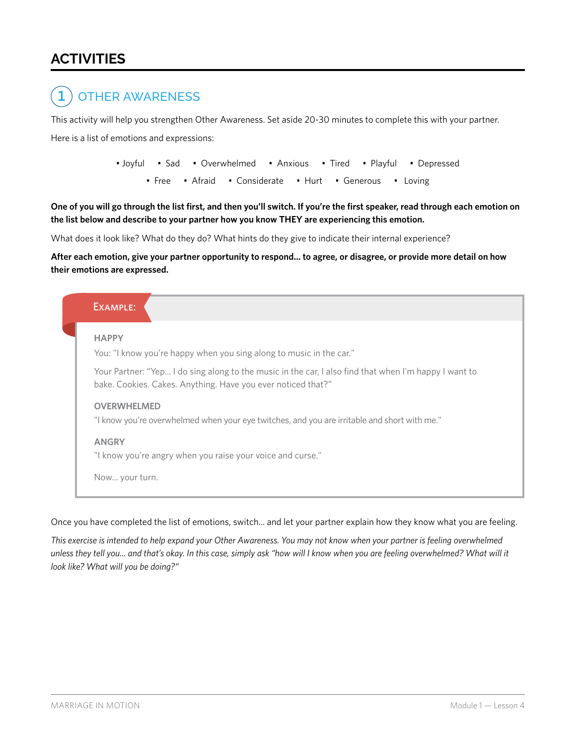# **ACTIVITIES**

#### OTHER AWARENESS **1**

This activity will help you strengthen Other Awareness. Set aside 20-30 minutes to complete this with your partner.

Here is a list of emotions and expressions:

• Joyful • Sad • Overwhelmed • Anxious • Tired • Playful • Depressed • Free • Afraid • Considerate • Hurt • Generous • Loving

**One of you will go through the list first, and then you'll switch. If you're the first speaker, read through each emotion on the list below and describe to your partner how you know THEY are experiencing this emotion.**

What does it look like? What do they do? What hints do they give to indicate their internal experience?

**After each emotion, give your partner opportunity to respond... to agree, or disagree, or provide more detail on how their emotions are expressed.**



Once you have completed the list of emotions, switch... and let your partner explain how they know what you are feeling.

*This exercise is intended to help expand your Other Awareness. You may not know when your partner is feeling overwhelmed unless they tell you... and that's okay. In this case, simply ask "how will I know when you are feeling overwhelmed? What will it look like? What will you be doing?"*